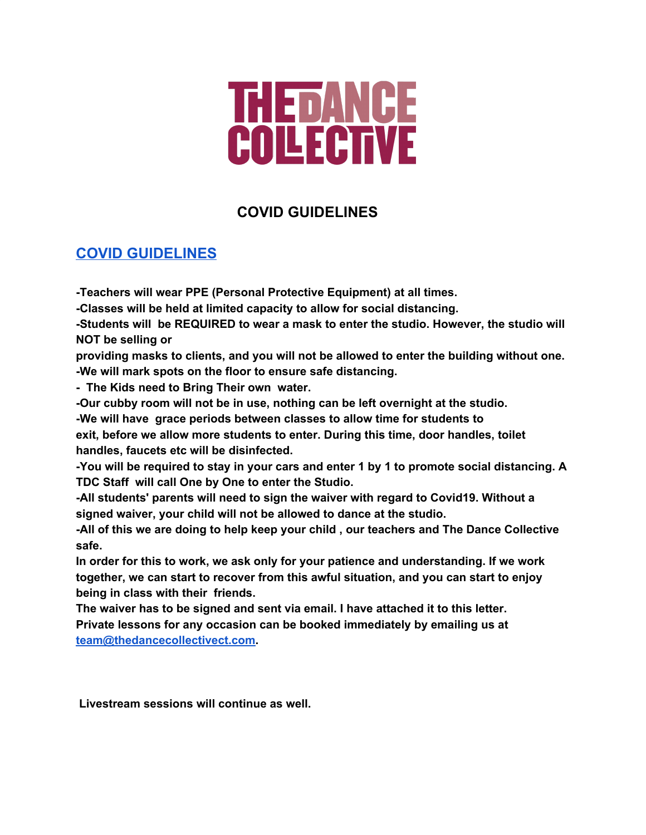## THETANCE<br>COLLECTIVE

## **COVID GUIDELINES**

## **COVID [GUIDELINES](https://drive.google.com/open?id=16KCdP-u4kKKxzM8ZTUyColt-pOz1k5wF_BC1MO3ZKwk)**

**-Teachers will wear PPE (Personal Protective Equipment) at all times.**

**-Classes will be held at limited capacity to allow for social distancing.**

**-Students will be REQUIRED to wear a mask to enter the studio. However, the studio will NOT be selling or**

**providing masks to clients, and you will not be allowed to enter the building without one. -We will mark spots on the floor to ensure safe distancing.**

**- The Kids need to Bring Their own water.**

**-Our cubby room will not be in use, nothing can be left overnight at the studio.**

**-We will have grace periods between classes to allow time for students to**

**exit, before we allow more students to enter. During this time, door handles, toilet handles, faucets etc will be disinfected.**

**-You will be required to stay in your cars and enter 1 by 1 to promote social distancing. A TDC Staff will call One by One to enter the Studio.**

**-All students' parents will need to sign the waiver with regard to Covid19. Without a signed waiver, your child will not be allowed to dance at the studio.**

**-All of this we are doing to help keep your child , our teachers and The Dance Collective safe.**

**In order for this to work, we ask only for your patience and understanding. If we work together, we can start to recover from this awful situation, and you can start to enjoy being in class with their friends.**

**The waiver has to be signed and sent via email. I have attached it to this letter. Private lessons for any occasion can be booked immediately by emailing us at [team@thedancecollectivect.com](mailto:team@thedancecollectivect.com).**

**Livestream sessions will continue as well.**